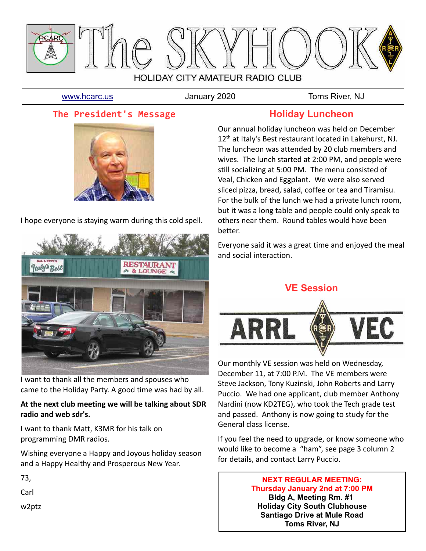

[www.hcarc.us](http://www.hcarc.us/) **Immuno Standary 2020** Toms River, NJ

## **The President's Message**



I hope everyone is staying warm during this cold spell.



I want to thank all the members and spouses who came to the Holiday Party. A good time was had by all.

### **At the next club meeting we will be talking about SDR radio and web sdr's.**

I want to thank Matt, K3MR for his talk on programming DMR radios.

Wishing everyone a Happy and Joyous holiday season and a Happy Healthy and Prosperous New Year.

73,

Carl

w2ptz

## **Holiday Luncheon**

Our annual holiday luncheon was held on December 12<sup>th</sup> at Italy's Best restaurant located in Lakehurst, NJ. The luncheon was attended by 20 club members and wives. The lunch started at 2:00 PM, and people were still socializing at 5:00 PM. The menu consisted of Veal, Chicken and Eggplant. We were also served sliced pizza, bread, salad, coffee or tea and Tiramisu. For the bulk of the lunch we had a private lunch room, but it was a long table and people could only speak to others near them. Round tables would have been better.

Everyone said it was a great time and enjoyed the meal and social interaction.

## **VE Session**



Our monthly VE session was held on Wednesday, December 11, at 7:00 P.M. The VE members were Steve Jackson, Tony Kuzinski, John Roberts and Larry Puccio. We had one applicant, club member Anthony Nardini (now KD2TEG), who took the Tech grade test and passed. Anthony is now going to study for the General class license.

If you feel the need to upgrade, or know someone who would like to become a "ham", see page 3 column 2 for details, and contact Larry Puccio.

> **NEXT REGULAR MEETING: Thursday January 2nd at 7:00 PM Bldg A, Meeting Rm. #1 Holiday City South Clubhouse Santiago Drive at Mule Road Toms River, NJ**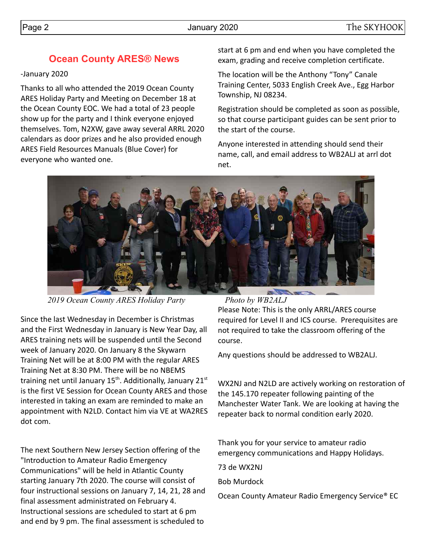# **Ocean County ARES® News**

### -January 2020

Thanks to all who attended the 2019 Ocean County ARES Holiday Party and Meeting on December 18 at the Ocean County EOC. We had a total of 23 people show up for the party and I think everyone enjoyed themselves. Tom, N2XW, gave away several ARRL 2020 calendars as door prizes and he also provided enough ARES Field Resources Manuals (Blue Cover) for everyone who wanted one.

start at 6 pm and end when you have completed the exam, grading and receive completion certificate.

The location will be the Anthony "Tony" Canale Training Center, 5033 English Creek Ave., Egg Harbor Township, NJ 08234.

Registration should be completed as soon as possible, so that course participant guides can be sent prior to the start of the course.

Anyone interested in attending should send their name, call, and email address to WB2ALJ at arrl dot net.



*2019 Ocean County ARES Holiday Party Photo by WB2ALJ*

Since the last Wednesday in December is Christmas and the First Wednesday in January is New Year Day, all ARES training nets will be suspended until the Second week of January 2020. On January 8 the Skywarn Training Net will be at 8:00 PM with the regular ARES Training Net at 8:30 PM. There will be no NBEMS training net until January  $15<sup>th</sup>$ . Additionally, January  $21<sup>st</sup>$ is the first VE Session for Ocean County ARES and those interested in taking an exam are reminded to make an appointment with N2LD. Contact him via VE at WA2RES dot com.

The next Southern New Jersey Section offering of the "Introduction to Amateur Radio Emergency Communications" will be held in Atlantic County starting January 7th 2020. The course will consist of four instructional sessions on January 7, 14, 21, 28 and final assessment administrated on February 4. Instructional sessions are scheduled to start at 6 pm and end by 9 pm. The final assessment is scheduled to

Please Note: This is the only ARRL/ARES course required for Level II and ICS course. Prerequisites are not required to take the classroom offering of the course.

Any questions should be addressed to WB2ALJ.

WX2NJ and N2LD are actively working on restoration of the 145.170 repeater following painting of the Manchester Water Tank. We are looking at having the repeater back to normal condition early 2020.

Thank you for your service to amateur radio emergency communications and Happy Holidays.

73 de WX2NJ

Bob Murdock

Ocean County Amateur Radio Emergency Service® EC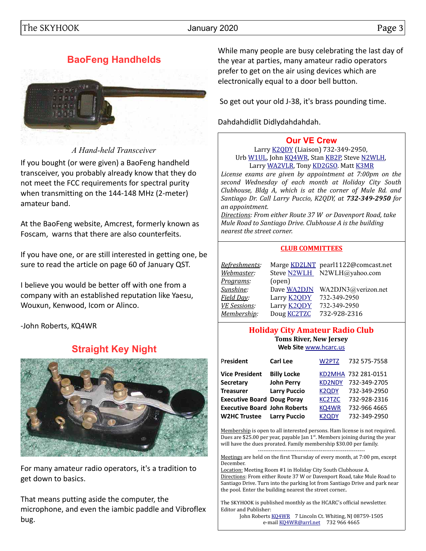# **BaoFeng Handhelds**



*A Hand-held Transceiver*

If you bought (or were given) a BaoFeng handheld transceiver, you probably already know that they do not meet the FCC requirements for spectral purity when transmitting on the 144-148 MHz (2-meter) amateur band.

At the BaoFeng website, Amcrest, formerly known as Foscam, warns that there are also counterfeits.

If you have one, or are still interested in getting one, be sure to read the article on page 60 of January QST.

I believe you would be better off with one from a company with an established reputation like Yaesu, Wouxun, Kenwood, Icom or Alinco.

-John Roberts, KQ4WR

# **Straight Key Night**



For many amateur radio operators, it's a tradition to get down to basics.

That means putting aside the computer, the microphone, and even the iambic paddle and Vibroflex bug.

While many people are busy celebrating the last day of the year at parties, many amateur radio operators prefer to get on the air using devices which are electronically equal to a door bell button.

So get out your old J-38, it's brass pounding time.

Dahdahdidlit Didlydahdahdah.

### **[Our VE Crew](mailto:lpuccio1@comcast.net?subject=VE)**

Larry [K2QDY](mailto:lpuccio071@gmail.com) (Liaison) 732-349-2950, Urb [W1UL,](mailto:urb@W1UL.com) John [KQ4WR,](mailto:kq4wr@arrl.net) Stan [KB2P,](mailto:kb2pd@hotmail.com) Steve [N2WLH,](mailto:n2wlh@yahoo.com) Larry [WA2VLR,](mailto:lloscalz@optonline.net) Tony [KD2GSO.](mailto:tonyk613@comcast.net) Matt [K3MR](mailto:baltimatt@verizon.net)

*License exams are given by appointment at 7:00pm on the second Wednesday of each month at Holiday City South Clubhouse, Bldg A, which is at the corner of Mule Rd. and Santiago Dr. Call Larry Puccio, K2QDY, at 732-349-2950 for an appointment.* 

*Directions: From either Route 37 W or Davenport Road, take Mule Road to Santiago Drive. Clubhouse A is the building nearest the street corner.*

#### **CLUB COMMITTEES**

| Refreshments:       |                    | Marge KD2LNT pearl1122@comcast.net |
|---------------------|--------------------|------------------------------------|
| Webmaster:          |                    | Steve N2WLH N2WLH@yahoo.com        |
| <u>Programs</u> :   | (open)             |                                    |
| Sunshine:           | Dave WA2DJN        | WA2DJN3@verizon.net                |
| Field Day:          | Larry <b>K2QDY</b> | 732-349-2950                       |
| <b>VE Sessions:</b> | Larry <b>K2QDY</b> | 732-349-2950                       |
| Membership:         | Doug <b>KC2TZC</b> | 732-928-2316                       |

#### **Holiday City Amateur Radio Club Toms River, New Jersey Web Site** [www.hcarc.us](http://www.hcarc.us/)

| President                           | <b>Carl Lee</b>     | W2PTZ                            | 732 575-7558        |
|-------------------------------------|---------------------|----------------------------------|---------------------|
| <b>Vice President</b>               | <b>Billy Locke</b>  |                                  | KD2MHA 732 281-0151 |
| Secretary                           | <b>John Perry</b>   | <b>KD2NDY</b>                    | 732-349-2705        |
| <b>Treasurer</b>                    | <b>Larry Puccio</b> | K <sub>2</sub> Q <sub>D</sub> Y  | 732-349-2950        |
| <b>Executive Board Doug Poray</b>   |                     | KC <sub>2</sub> T <sub>Z</sub> C | 732-928-2316        |
| <b>Executive Board John Roberts</b> |                     | KQ4WR                            | 732-966 4665        |
| <b>W2HC Trustee</b>                 | <b>Larry Puccio</b> | K2ODY                            | 732-349-2950        |

Membership is open to all interested persons. Ham license is not required. Dues are \$25.00 per year, payable Jan  $1<sup>st</sup>$ . Members joining during the year will have the dues prorated. Family membership \$30.00 per family.

---------------------------------------------------------- Meetings are held on the first Thursday of every month, at 7:00 pm, except December.

Location: Meeting Room #1 in Holiday City South Clubhouse A. Directions: From either Route 37 W or Davenport Road, take Mule Road to Santiago Drive. Turn into the parking lot from Santiago Drive and park near the pool. Enter the building nearest the street corner..

The SKYHOOK is published monthly as the HCARC's official newsletter. Editor and Publisher:

John Roberts [KQ4WR](mailto:kq4wr@arrl.net) 7 Lincoln Ct. Whiting, NJ 08759-1505 e-mail [KQ4WR@arrl.net](mailto:KQ4WR@arrl.net) 732 966 4665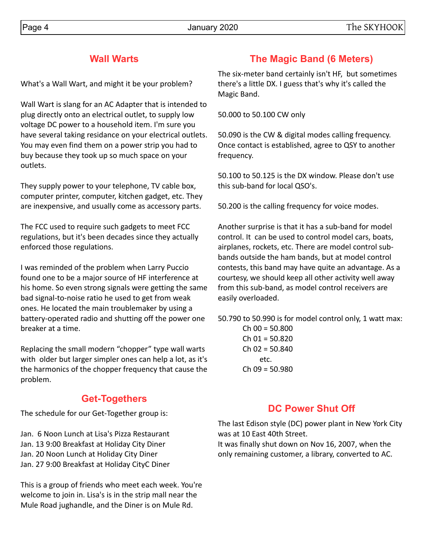## **Wall Warts**

What's a Wall Wart, and might it be your problem?

Wall Wart is slang for an AC Adapter that is intended to plug directly onto an electrical outlet, to supply low voltage DC power to a household item. I'm sure you have several taking residance on your electrical outlets. You may even find them on a power strip you had to buy because they took up so much space on your outlets.

They supply power to your telephone, TV cable box, computer printer, computer, kitchen gadget, etc. They are inexpensive, and usually come as accessory parts.

The FCC used to require such gadgets to meet FCC regulations, but it's been decades since they actually enforced those regulations.

I was reminded of the problem when Larry Puccio found one to be a major source of HF interference at his home. So even strong signals were getting the same bad signal-to-noise ratio he used to get from weak ones. He located the main troublemaker by using a battery-operated radio and shutting off the power one breaker at a time.

Replacing the small modern "chopper" type wall warts with older but larger simpler ones can help a lot, as it's the harmonics of the chopper frequency that cause the problem.

# **Get-Togethers**

The schedule for our Get-Together group is:

Jan. 6 Noon Lunch at Lisa's Pizza Restaurant Jan. 13 9:00 Breakfast at Holiday City Diner Jan. 20 Noon Lunch at Holiday City Diner Jan. 27 9:00 Breakfast at Holiday CityC Diner

This is a group of friends who meet each week. You're welcome to join in. Lisa's is in the strip mall near the Mule Road jughandle, and the Diner is on Mule Rd.

# **The Magic Band (6 Meters)**

The six-meter band certainly isn't HF, but sometimes there's a little DX. I guess that's why it's called the Magic Band.

50.000 to 50.100 CW only

50.090 is the CW & digital modes calling frequency. Once contact is established, agree to QSY to another frequency.

50.100 to 50.125 is the DX window. Please don't use this sub-band for local QSO's.

50.200 is the calling frequency for voice modes.

Another surprise is that it has a sub-band for model control. It can be used to control model cars, boats, airplanes, rockets, etc. There are model control subbands outside the ham bands, but at model control contests, this band may have quite an advantage. As a courtesy, we should keep all other activity well away from this sub-band, as model control receivers are easily overloaded.

50.790 to 50.990 is for model control only, 1 watt max:

 $Ch$  00 = 50.800  $Ch$  01 = 50.820  $Ch$  02 = 50.840 etc.  $Ch$  09 = 50.980

# **DC Power Shut Off**

The last Edison style (DC) power plant in New York City was at 10 East 40th Street.

It was finally shut down on Nov 16, 2007, when the only remaining customer, a library, converted to AC.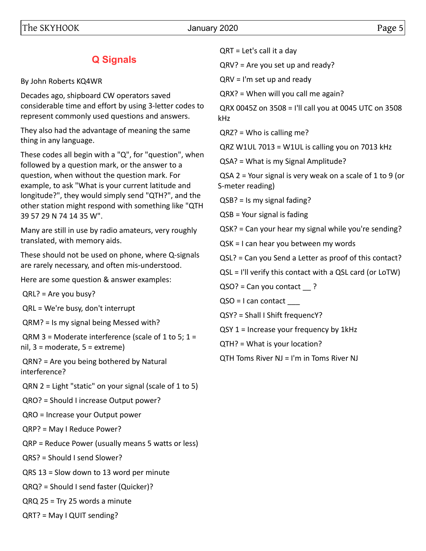# **Q Signals**

By John Roberts KQ4WR

Decades ago, shipboard CW operators saved considerable time and effort by using 3-letter codes to represent commonly used questions and answers.

They also had the advantage of meaning the same thing in any language.

These codes all begin with a "Q", for "question", when followed by a question mark, or the answer to a question, when without the question mark. For example, to ask "What is your current latitude and longitude?", they would simply send "QTH?", and the other station might respond with something like "QTH 39 57 29 N 74 14 35 W".

Many are still in use by radio amateurs, very roughly translated, with memory aids.

These should not be used on phone, where Q-signals are rarely necessary, and often mis-understood.

Here are some question & answer examples:

QRL? = Are you busy?

QRL = We're busy, don't interrupt

QRM? = Is my signal being Messed with?

 $QRM$  3 = Moderate interference (scale of 1 to 5; 1 = nil, 3 = moderate, 5 = extreme)

 QRN? = Are you being bothered by Natural interference?

QRN 2 = Light "static" on your signal (scale of 1 to 5)

QRO? = Should I increase Output power?

QRO = Increase your Output power

QRP? = May I Reduce Power?

QRP = Reduce Power (usually means 5 watts or less)

QRS? = Should I send Slower?

QRS 13 = Slow down to 13 word per minute

QRQ? = Should I send faster (Quicker)?

QRQ 25 = Try 25 words a minute

QRT? = May I QUIT sending?

QRT = Let's call it a day

QRV? = Are you set up and ready?

QRV = I'm set up and ready

QRX? = When will you call me again?

 QRX 0045Z on 3508 = I'll call you at 0045 UTC on 3508 kHz

QRZ? = Who is calling me?

QRZ W1UL 7013 = W1UL is calling you on 7013 kHz

QSA? = What is my Signal Amplitude?

 QSA 2 = Your signal is very weak on a scale of 1 to 9 (or S-meter reading)

QSB? = Is my signal fading?

QSB = Your signal is fading

QSK? = Can your hear my signal while you're sending?

QSK = I can hear you between my words

QSL? = Can you Send a Letter as proof of this contact?

QSL = I'll verify this contact with a QSL card (or LoTW)

QSO? = Can you contact ?

QSO = I can contact \_\_\_

QSY? = Shall I Shift frequencY?

QSY 1 = Increase your frequency by 1kHz

QTH? = What is your location?

QTH Toms River NJ = I'm in Toms River NJ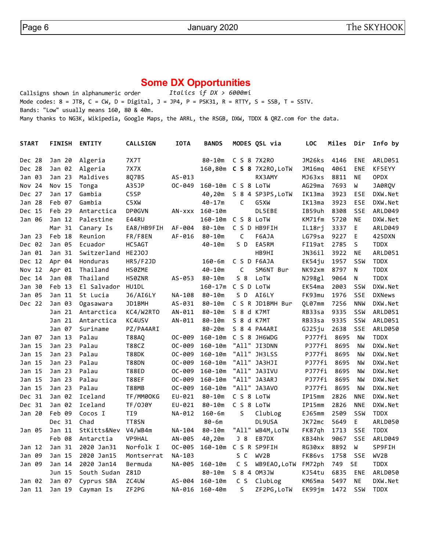## **Some DX Opportunities**

Callsigns shown in alphanumeric order *Italics if DX > 6000mi* Mode codes:  $8 = JTS$ ,  $C = CW$ ,  $D = Digital$ ,  $J = JPA$ ,  $P = PSK31$ ,  $R = RTTY$ ,  $S = SSB$ ,  $T = SSTV$ . Bands: "Low" usually means 160, 80 & 40m. Many thanks to NG3K, Wikipedia, Google Maps, the ARRL, the RSGB, DXW, TDDX & QRZ.com for the data.

| <b>START</b> | <b>FINISH</b>     | <b>ENTITY</b>      | <b>CALLSIGN</b>   | <b>IOTA</b> | <b>BANDS</b>       |                | MODES QSL via     | <b>LOC</b> | Miles | Dir        | Info by        |
|--------------|-------------------|--------------------|-------------------|-------------|--------------------|----------------|-------------------|------------|-------|------------|----------------|
| Dec 28       | Jan 20            | Algeria            | <b>7X7T</b>       |             | $80 - 10m$         |                | C S 8 7X2R0       | JM26ks     | 4146  | <b>ENE</b> | ARLD051        |
| Dec 28       | Jan 02            | Algeria            | <b>7X7X</b>       |             | 160,80m            |                | C S 8 7X2RO, LOTW | JM16mq     | 4061  | <b>ENE</b> | KF5EYY         |
| Jan 03       | Jan <sub>23</sub> | Maldives           | 8Q7BS             | $AS - 013$  |                    |                | RX3AMY            | MJ63xs     | 8811  | <b>NE</b>  | <b>OPDX</b>    |
| Nov 24       | Nov 15            | Tonga              | A35JP             | OC-049      | 160-10m C S 8 LoTW |                |                   | AG29ma     | 7693  | W          | JA0RQV         |
| Dec 27       | Jan 17            | Gambia             | C5SP              |             | 40,20m             |                | S 8 4 SP3PS, LoTW | IK13ma     | 3923  | <b>ESE</b> | DXW.Net        |
| Jan 28       | Feb 07            | Gambia             | C5XW              |             | $40 - 17m$         | C              | G5XW              | IK13ma     | 3923  | <b>ESE</b> | DXW.Net        |
| Dec 15       | Feb 29            | Antarctica         | DP0GVN            | AN-xxx      | $160 - 10m$        |                | DL5EBE            | IB59uh     | 8308  | SSE        | ARLD049        |
| Jan 06       | Jan 12            | Palestine          | E44RU             |             | $160 - 10m$        | C S 8 LoTW     |                   | KM71fm     | 5720  | <b>NE</b>  | DXW.Net        |
|              | Mar 31            | Canary Is          | EA8/HB9FIH        | AF-004      | $80 - 10m$         |                | C S D HB9FIH      | IL18rj     | 3337  | E          | ARLD049        |
| Jan 23       | Feb 18            | Reunion            | FR/F8EN           | AF-016      | 80-10m             | C              | F6AJA             | LG79sa     | 9227  | E          | 425DXN         |
| Dec 02       | Jan 05            | Ecuador            | HC5AGT            |             | 40-10m             | S D            | EA5RM             | FI19at     | 2785  | S          | <b>TDDX</b>    |
| Jan 01       | Jan <sub>31</sub> | Switzerland HE2J0J |                   |             |                    |                | HB9HI             | JN36il     | 3922  | <b>NE</b>  | <b>ARLD051</b> |
| Dec 12       | Apr 04            | Honduras           | HR5/F2JD          |             | $160 - 6m$         |                | C S D F6AJA       | EK54ju     | 1957  | SSW        | <b>TDDX</b>    |
| Nov 12       | Apr 01            | Thailand           | HS0ZME            |             | 40-10m             | C              | SM6NT Bur         | NK92xm     | 8797  | N          | <b>TDDX</b>    |
| Dec 14       | Jan 08            | Thailand           | HS0ZNR            | AS-053      | $80 - 10m$         | $S_8$          | LoTW              | NJ98gl     | 9064  | ${\sf N}$  | <b>TDDX</b>    |
| Jan 30       | Feb 13            | El Salvador HU1DL  |                   |             | $160 - 17m$        | C S D LoTW     |                   | EK54ma     | 2003  | SSW        | DXW.Net        |
| Jan 05       | Jan 11            | St Lucia           | <b>J6/AI6LY</b>   | NA-108      | $80 - 10m$         | S D            | AI6LY             | FK93mu     | 1976  | SSE        | <b>DXNews</b>  |
| Dec 22       | Jan 03            | Ogasawara          | JD1BMH            | AS-031      | $80 - 10m$         |                | C S R JD1BMH Bur  | QL07mm     | 7256  | <b>NNW</b> | DXW.Net        |
|              | Jan 21            | Antarctica         | KC4/W2RTO         | AN-011      | 80-10m             | S 8 d K7MT     |                   | RB33sa     | 9335  | SSW        | <b>ARLD051</b> |
|              | Jan 21            | Antarctica         | KC4USV            | $AN-011$    | $80 - 10m$         | S 8 d K7MT     |                   | RB33sa     | 9335  | SSW        | ARLD051        |
|              | Jan 07            | Suriname           | PZ/PA4ARI         |             | 80-20m             |                | S 8 4 PA4ARI      | GJ25ju     | 2638  | SSE        | <b>ARLD050</b> |
| Jan 07       | Jan 13            | Palau              | <b>T88AQ</b>      | OC-009      | $160 - 10m$        |                | C S 8 JH6WDG      | PJ77fi     | 8695  | <b>NW</b>  | <b>TDDX</b>    |
| Jan 15       | Jan <sub>23</sub> | Palau              | <b>T88CZ</b>      | OC-009      | $160 - 10m$        |                | "All" JI3DNN      | PJ77fi     | 8695  | <b>NW</b>  | DXW.Net        |
| Jan 15       | Jan <sub>23</sub> | Palau              | T88DK             | OC-009      | $160 - 10m$        |                | "All" JH3LSS      | PJ77fi     | 8695  | <b>NW</b>  | DXW.Net        |
| Jan 15       | Jan 23            | Palau              | <b>T88DN</b>      | OC-009      | $160 - 10m$        |                | "All" JA3HJI      | PJ77fi     | 8695  | <b>NW</b>  | DXW.Net        |
| Jan 15       | Jan <sub>23</sub> | Palau              | <b>T88ED</b>      | OC-009      | $160 - 10m$        | "All"          | JA3IVU            | PJ77fi     | 8695  | <b>NW</b>  | DXW.Net        |
| Jan 15       | Jan <sub>23</sub> | Palau              | <b>T88EF</b>      | OC-009      | $160 - 10m$        |                | "All" JA3ARJ      | PJ77fi     | 8695  | <b>NW</b>  | DXW.Net        |
| Jan 15       | Jan <sub>23</sub> | Palau              | <b>T88MB</b>      | OC-009      | $160 - 10m$        |                | "All" JA3AVO      | PJ77fi     | 8695  | <b>NW</b>  | DXW.Net        |
| Dec 31       | Jan 02            | Iceland            | TF/MM00KG         | EU-021      | 80-10m             | C S 8 LoTW     |                   | IP15mm     | 2826  | <b>NNE</b> | DXW.Net        |
| Dec 31       | Jan 02            | Iceland            | <b>TF/0J0Y</b>    | EU-021      | 80-10m             | C S 8 LoTW     |                   | IP15mm     | 2826  | <b>NNE</b> | DXW.Net        |
| Jan 20       | Feb 09            | Cocos I            | TI9               | NA-012      | $160 - 6m$         | $\sf S$        | ClubLog           | EJ65mm     | 2509  | SSW        | <b>TDDX</b>    |
|              | Dec 31            | Chad               | TT8SN             |             | $80 - 6m$          |                | DL9USA            | JK72mc     | 5649  | E          | <b>ARLD050</b> |
| Jan 05       | Jan 11            | StKitts&Nev        | V4/WB4m           | NA-104      | $80 - 10m$         | "All"          | WB4M, LoTW        | FK87gh     | 1713  | <b>SSE</b> | <b>TDDX</b>    |
|              | Feb 08            | Antarctia          | <b>VP9HAL</b>     | AN-005      | 40,20m             | $J_8$          | EB7DX             | KB34hk     | 9067  | SSE        | ARLD049        |
| Jan 12       | Jan 31            | 2020 Jan31         | Norfolk I         | $OC - 005$  | $160 - 10m$        |                | C S R SP9FIH      | RG30xx     | 8892  | W          | SP9FIH         |
| Jan 09       | Jan 15            | 2020 Jan15         | Montserrat        | NA-103      |                    | S C            | WV <sub>2</sub> B | FK86vs     | 1758  | SSE        | WV2B           |
| Jan 09       | Jan 14            | 2020 Jan14         | Bermuda           | NA-005      | $160 - 10m$        | C <sub>5</sub> | WB9EAO, LoTW      | FM72ph     | 749   | <b>SE</b>  | <b>TDDX</b>    |
|              | Jun 15            | South Sudan        | Z81D              |             | 80-10m             |                | S 8 4 OM3JW       | KJ54tu     | 6835  | <b>ENE</b> | ARLD050        |
| Jan 02       | Jan 07            | Cyprus SBA         | ZC4UW             | AS-004      | $160 - 10m$        | C S            | ClubLog           | KM65ma     | 5497  | <b>NE</b>  | DXW.Net        |
| Jan 11       | Jan 19            | Cayman Is          | ZF <sub>2PG</sub> | NA-016      | $160 - 40m$        | S              | ZF2PG, LoTW       | EK99jm     | 1472  | SSW        | <b>TDDX</b>    |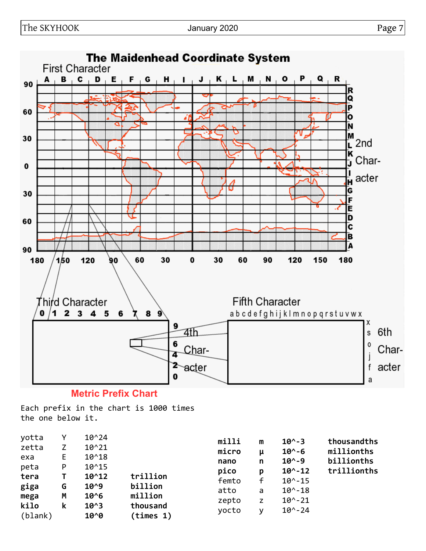

## **Metric Prefix Chart**

Each prefix in the chart is 1000 times the one below it.

| yotta   |    | $10^{24}$  |           | milli | m | $10^{\circ} - 3$  | thousandths |
|---------|----|------------|-----------|-------|---|-------------------|-------------|
| zetta   | Z  | $10^{221}$ |           | micro | μ | $10^{\circ} - 6$  | millionths  |
| exa     | E. | $10^{4}18$ |           | nano  | n | $10^{\circ} - 9$  | billionths  |
| peta    | P  | $10^{4}15$ |           | pico  | p | $10^{\circ} - 12$ | trillionths |
| tera    |    | $10^{4}12$ | trillion  | femto | f | $10^{\circ} - 15$ |             |
| giga    | G  | $10^{0.9}$ | billion   | atto  | a | $10^{\circ} - 18$ |             |
| mega    | M  | $10^{6}$   | million   | zepto | z | $10^{\circ} - 21$ |             |
| kilo    | k  | $10^{3}$   | thousand  |       |   | $10^{\circ} - 24$ |             |
| (blank) |    | $10^{0}$   | (times 1) | yocto | v |                   |             |